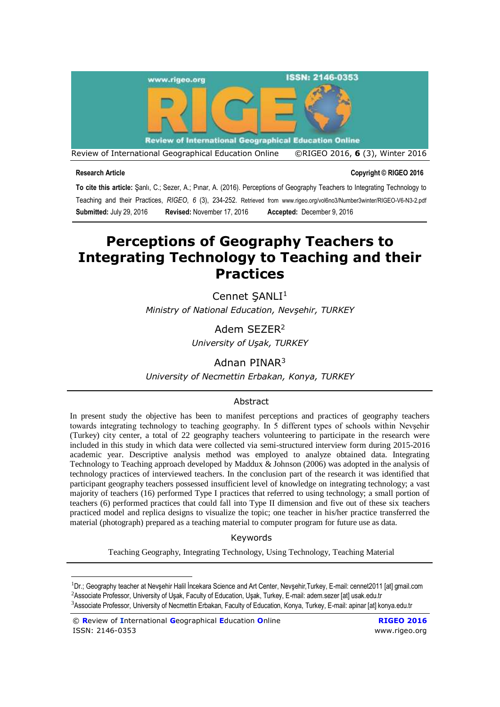

#### **Research Article Copyright © RIGEO 2016**

**To cite this article:** Şanlı, C.; Sezer, A.; Pınar, A. (2016). Perceptions of Geography Teachers to Integrating Technology to Teaching and their Practices, *RIGEO*, *6* (3), 234-252. Retrieved from www.rigeo.org/vol6no3/Number3winter/RIGEO-V6-N3-2.pdf **Submitted:** July 29, 2016 **Revised:** November 17, 2016 **Accepted:** December 9, 2016

# **Perceptions of Geography Teachers to Integrating Technology to Teaching and their Practices**

Cennet SANLI<sup>1</sup> *Ministry of National Education, Nevşehir, TURKEY* 

> Adem SEZER<sup>2</sup> *University of Uşak, TURKEY*

Adnan PINAR<sup>3</sup>

*University of Necmettin Erbakan, Konya, TURKEY* 

# Abstract

In present study the objective has been to manifest perceptions and practices of geography teachers towards integrating technology to teaching geography. In 5 different types of schools within Nevşehir (Turkey) city center, a total of 22 geography teachers volunteering to participate in the research were included in this study in which data were collected via semi-structured interview form during 2015-2016 academic year. Descriptive analysis method was employed to analyze obtained data. Integrating Technology to Teaching approach developed by Maddux & Johnson (2006) was adopted in the analysis of technology practices of interviewed teachers. In the conclusion part of the research it was identified that participant geography teachers possessed insufficient level of knowledge on integrating technology; a vast majority of teachers (16) performed Type I practices that referred to using technology; a small portion of teachers (6) performed practices that could fall into Type II dimension and five out of these six teachers practiced model and replica designs to visualize the topic; one teacher in his/her practice transferred the material (photograph) prepared as a teaching material to computer program for future use as data.

Keywords

Teaching Geography, Integrating Technology, Using Technology, Teaching Material

<sup>1</sup>Dr.; Geography teacher at Nevşehir Halil İncekara Science and Art Center, Nevşehir,Turkey, E-mail: cennet2011 [at] gmail.com <sup>2</sup>Associate Professor, University of Uşak, Faculty of Education, Uşak, Turkey, E-mail: adem.sezer [at] usak.edu.tr <sup>3</sup>Associate Professor, University of Necmettin Erbakan, Faculty of Education, Konya, Turkey, E-mail: apinar [at] konya.edu.tr

<sup>©</sup> **R**eview of **I**nternational **G**eographical **E**ducation **O**nline **RIGEO 2016** ISSN: 2146-0353 [www.rigeo.org](http://www.rigeo.org/)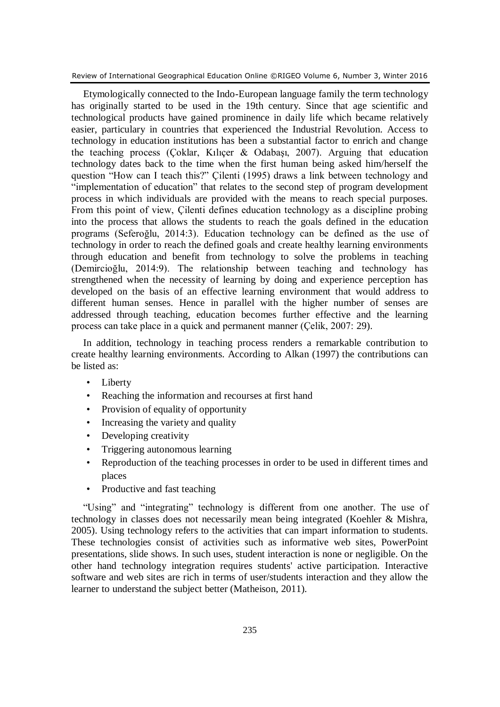Etymologically connected to the Indo-European language family the term technology has originally started to be used in the 19th century. Since that age scientific and technological products have gained prominence in daily life which became relatively easier, particulary in countries that experienced the Industrial Revolution. Access to technology in education institutions has been a substantial factor to enrich and change the teaching process (Coklar, Kilicer & Odabasi, 2007). Arguing that education technology dates back to the time when the first human being asked him/herself the question "How can I teach this?" Çilenti (1995) draws a link between technology and "implementation of education" that relates to the second step of program development process in which individuals are provided with the means to reach special purposes. From this point of view, Çilenti defines education technology as a discipline probing into the process that allows the students to reach the goals defined in the education programs (Seferoğlu, 2014:3). Education technology can be defined as the use of technology in order to reach the defined goals and create healthy learning environments through education and benefit from technology to solve the problems in teaching (Demircioğlu, 2014:9). The relationship between teaching and technology has strengthened when the necessity of learning by doing and experience perception has developed on the basis of an effective learning environment that would address to different human senses. Hence in parallel with the higher number of senses are addressed through teaching, education becomes further effective and the learning process can take place in a quick and permanent manner (Çelik, 2007: 29).

In addition, technology in teaching process renders a remarkable contribution to create healthy learning environments. According to Alkan (1997) the contributions can be listed as:

- Liberty
- Reaching the information and recourses at first hand
- Provision of equality of opportunity
- Increasing the variety and quality
- Developing creativity
- Triggering autonomous learning
- Reproduction of the teaching processes in order to be used in different times and places
- Productive and fast teaching

"Using" and "integrating" technology is different from one another. The use of technology in classes does not necessarily mean being integrated (Koehler & Mishra, 2005). Using technology refers to the activities that can impart information to students. These technologies consist of activities such as informative web sites, PowerPoint presentations, slide shows. In such uses, student interaction is none or negligible. On the other hand technology integration requires students' active participation. Interactive software and web sites are rich in terms of user/students interaction and they allow the learner to understand the subject better (Matheison, 2011).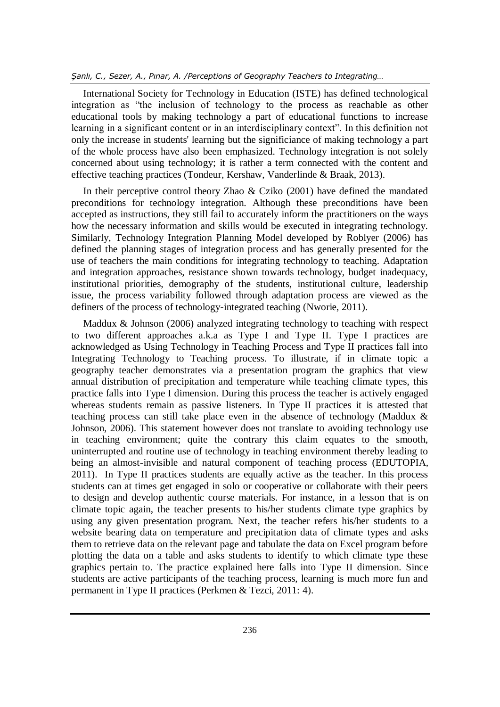International Society for Technology in Education (ISTE) has defined technological integration as "the inclusion of technology to the process as reachable as other educational tools by making technology a part of educational functions to increase learning in a significant content or in an interdisciplinary context". In this definition not only the increase in students' learning but the significiance of making technology a part of the whole process have also been emphasized. Technology integration is not solely concerned about using technology; it is rather a term connected with the content and effective teaching practices (Tondeur, Kershaw, Vanderlinde & Braak, 2013).

In their perceptive control theory Zhao  $& Cziko (2001)$  have defined the mandated preconditions for technology integration. Although these preconditions have been accepted as instructions, they still fail to accurately inform the practitioners on the ways how the necessary information and skills would be executed in integrating technology. Similarly, Technology Integration Planning Model developed by Roblyer (2006) has defined the planning stages of integration process and has generally presented for the use of teachers the main conditions for integrating technology to teaching. Adaptation and integration approaches, resistance shown towards technology, budget inadequacy, institutional priorities, demography of the students, institutional culture, leadership issue, the process variability followed through adaptation process are viewed as the definers of the process of technology-integrated teaching (Nworie, 2011).

Maddux & Johnson (2006) analyzed integrating technology to teaching with respect to two different approaches a.k.a as Type I and Type II. Type I practices are acknowledged as Using Technology in Teaching Process and Type II practices fall into Integrating Technology to Teaching process. To illustrate, if in climate topic a geography teacher demonstrates via a presentation program the graphics that view annual distribution of precipitation and temperature while teaching climate types, this practice falls into Type I dimension. During this process the teacher is actively engaged whereas students remain as passive listeners. In Type II practices it is attested that teaching process can still take place even in the absence of technology (Maddux & Johnson, 2006). This statement however does not translate to avoiding technology use in teaching environment; quite the contrary this claim equates to the smooth, uninterrupted and routine use of technology in teaching environment thereby leading to being an almost-invisible and natural component of teaching process (EDUTOPIA, 2011). In Type II practices students are equally active as the teacher. In this process students can at times get engaged in solo or cooperative or collaborate with their peers to design and develop authentic course materials. For instance, in a lesson that is on climate topic again, the teacher presents to his/her students climate type graphics by using any given presentation program. Next, the teacher refers his/her students to a website bearing data on temperature and precipitation data of climate types and asks them to retrieve data on the relevant page and tabulate the data on Excel program before plotting the data on a table and asks students to identify to which climate type these graphics pertain to. The practice explained here falls into Type II dimension. Since students are active participants of the teaching process, learning is much more fun and permanent in Type II practices (Perkmen & Tezci, 2011: 4).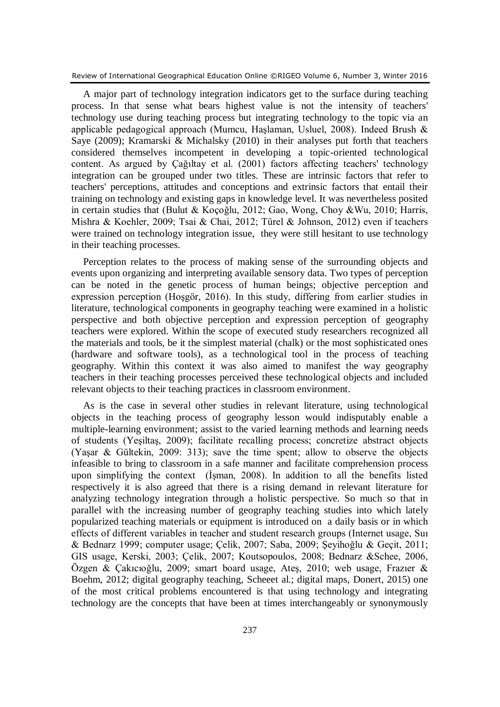A major part of technology integration indicators get to the surface during teaching process. In that sense what bears highest value is not the intensity of teachers' technology use during teaching process but integrating technology to the topic via an applicable pedagogical approach (Mumcu, Haşlaman, Usluel, 2008). Indeed Brush & Saye (2009); Kramarski & Michalsky (2010) in their analyses put forth that teachers considered themselves incompetent in developing a topic-oriented technological content. As argued by Çağıltay et al. (2001) factors affecting teachers' technology integration can be grouped under two titles. These are intrinsic factors that refer to teachers' perceptions, attitudes and conceptions and extrinsic factors that entail their training on technology and existing gaps in knowledge level. It was nevertheless posited in certain studies that (Bulut & Koçoğlu, 2012; Gao, Wong, Choy &Wu, 2010; Harris, Mishra & Koehler, 2009; Tsai & Chai, 2012; Türel & Johnson, 2012) even if teachers were trained on technology integration issue, they were still hesitant to use technology in their teaching processes.

Perception relates to the process of making sense of the surrounding objects and events upon organizing and interpreting available sensory data. Two types of perception can be noted in the genetic process of human beings; objective perception and expression perception (Hoşgör, 2016). In this study, differing from earlier studies in literature, technological components in geography teaching were examined in a holistic perspective and both objective perception and expression perception of geography teachers were explored. Within the scope of executed study researchers recognized all the materials and tools, be it the simplest material (chalk) or the most sophisticated ones (hardware and software tools), as a technological tool in the process of teaching geography. Within this context it was also aimed to manifest the way geography teachers in their teaching processes perceived these technological objects and included relevant objects to their teaching practices in classroom environment.

As is the case in several other studies in relevant literature, using technological objects in the teaching process of geography lesson would indisputably enable a multiple-learning environment; assist to the varied learning methods and learning needs of students (Yeşiltaş, 2009); facilitate recalling process; concretize abstract objects (Yaşar & Gültekin, 2009: 313); save the time spent; allow to observe the objects infeasible to bring to classroom in a safe manner and facilitate comprehension process upon simplifying the context (İşman, 2008). In addition to all the benefits listed respectively it is also agreed that there is a rising demand in relevant literature for analyzing technology integration through a holistic perspective. So much so that in parallel with the increasing number of geography teaching studies into which lately popularized teaching materials or equipment is introduced on a daily basis or in which effects of different variables in teacher and student research groups (Internet usage, Suı & Bednarz 1999; computer usage; Çelik, 2007; Saba, 2009; Şeyihoğlu & Geçit, 2011; GIS usage, Kerski, 2003; Çelik, 2007; Koutsopoulos, 2008; Bednarz &Schee, 2006, Özgen & Çakıcıoğlu, 2009; smart board usage, Ateş, 2010; web usage, Frazıer & Boehm, 2012; digital geography teaching, Scheeet al.; digital maps, Donert, 2015) one of the most critical problems encountered is that using technology and integrating technology are the concepts that have been at times interchangeably or synonymously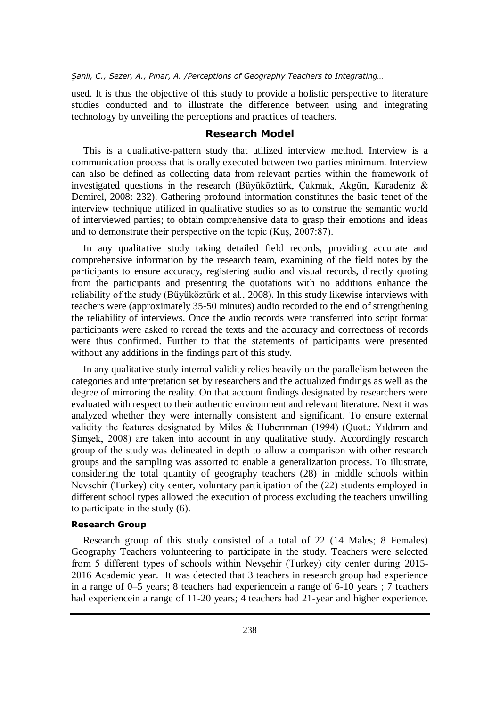used. It is thus the objective of this study to provide a holistic perspective to literature studies conducted and to illustrate the difference between using and integrating technology by unveiling the perceptions and practices of teachers.

# **Research Model**

This is a qualitative-pattern study that utilized interview method. Interview is a communication process that is orally executed between two parties minimum. Interview can also be defined as collecting data from relevant parties within the framework of investigated questions in the research (Büyüköztürk, Çakmak, Akgün, Karadeniz & Demirel, 2008: 232). Gathering profound information constitutes the basic tenet of the interview technique utilized in qualitative studies so as to construe the semantic world of interviewed parties; to obtain comprehensive data to grasp their emotions and ideas and to demonstrate their perspective on the topic (Kuş, 2007:87).

In any qualitative study taking detailed field records, providing accurate and comprehensive information by the research team, examining of the field notes by the participants to ensure accuracy, registering audio and visual records, directly quoting from the participants and presenting the quotations with no additions enhance the reliability of the study (Büyüköztürk et al., 2008). In this study likewise interviews with teachers were (approximately 35-50 minutes) audio recorded to the end of strengthening the reliability of interviews. Once the audio records were transferred into script format participants were asked to reread the texts and the accuracy and correctness of records were thus confirmed. Further to that the statements of participants were presented without any additions in the findings part of this study.

In any qualitative study internal validity relies heavily on the parallelism between the categories and interpretation set by researchers and the actualized findings as well as the degree of mirroring the reality. On that account findings designated by researchers were evaluated with respect to their authentic environment and relevant literature. Next it was analyzed whether they were internally consistent and significant. To ensure external validity the features designated by Miles & Hubermman (1994) (Quot.: Yıldırım and Şimşek, 2008) are taken into account in any qualitative study. Accordingly research group of the study was delineated in depth to allow a comparison with other research groups and the sampling was assorted to enable a generalization process. To illustrate, considering the total quantity of geography teachers (28) in middle schools within Nevşehir (Turkey) city center, voluntary participation of the (22) students employed in different school types allowed the execution of process excluding the teachers unwilling to participate in the study (6).

#### **Research Group**

Research group of this study consisted of a total of 22 (14 Males; 8 Females) Geography Teachers volunteering to participate in the study. Teachers were selected from 5 different types of schools within Nevşehir (Turkey) city center during 2015- 2016 Academic year. It was detected that 3 teachers in research group had experience in a range of 0–5 years; 8 teachers had experiencein a range of 6-10 years ; 7 teachers had experiencein a range of 11-20 years; 4 teachers had 21-year and higher experience.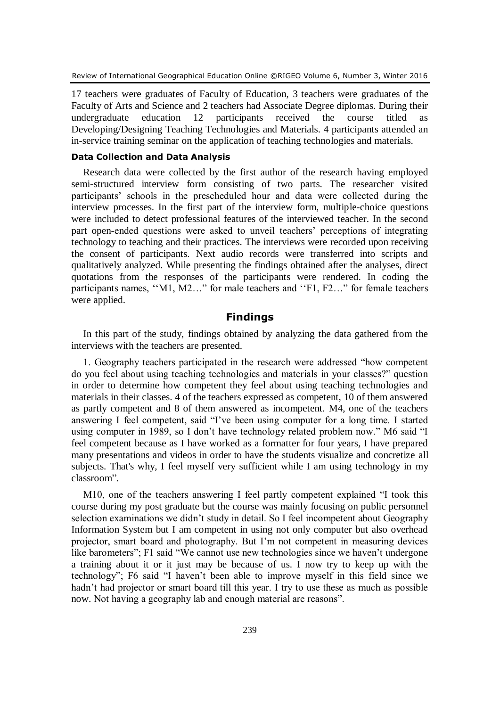17 teachers were graduates of Faculty of Education, 3 teachers were graduates of the Faculty of Arts and Science and 2 teachers had Associate Degree diplomas. During their undergraduate education 12 participants received the course titled as Developing/Designing Teaching Technologies and Materials. 4 participants attended an in-service training seminar on the application of teaching technologies and materials.

# **Data Collection and Data Analysis**

Research data were collected by the first author of the research having employed semi-structured interview form consisting of two parts. The researcher visited participants' schools in the prescheduled hour and data were collected during the interview processes. In the first part of the interview form, multiple-choice questions were included to detect professional features of the interviewed teacher. In the second part open-ended questions were asked to unveil teachers' perceptions of integrating technology to teaching and their practices. The interviews were recorded upon receiving the consent of participants. Next audio records were transferred into scripts and qualitatively analyzed. While presenting the findings obtained after the analyses, direct quotations from the responses of the participants were rendered. In coding the participants names, ''M1, M2…" for male teachers and ''F1, F2…" for female teachers were applied.

# **Findings**

In this part of the study, findings obtained by analyzing the data gathered from the interviews with the teachers are presented.

1. Geography teachers participated in the research were addressed "how competent do you feel about using teaching technologies and materials in your classes?" question in order to determine how competent they feel about using teaching technologies and materials in their classes. 4 of the teachers expressed as competent, 10 of them answered as partly competent and 8 of them answered as incompetent. M4, one of the teachers answering I feel competent, said "I've been using computer for a long time. I started using computer in 1989, so I don't have technology related problem now." M6 said "I feel competent because as I have worked as a formatter for four years, I have prepared many presentations and videos in order to have the students visualize and concretize all subjects. That's why, I feel myself very sufficient while I am using technology in my classroom".

M10, one of the teachers answering I feel partly competent explained "I took this course during my post graduate but the course was mainly focusing on public personnel selection examinations we didn't study in detail. So I feel incompetent about Geography Information System but I am competent in using not only computer but also overhead projector, smart board and photography. But I'm not competent in measuring devices like barometers"; F1 said "We cannot use new technologies since we haven't undergone a training about it or it just may be because of us. I now try to keep up with the technology"; F6 said "I haven't been able to improve myself in this field since we hadn't had projector or smart board till this year. I try to use these as much as possible now. Not having a geography lab and enough material are reasons".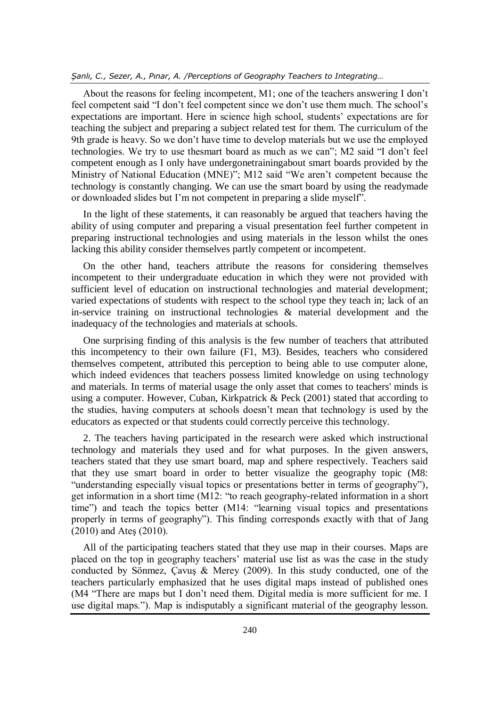About the reasons for feeling incompetent, M1; one of the teachers answering I don't feel competent said "I don't feel competent since we don't use them much. The school's expectations are important. Here in science high school, students' expectations are for teaching the subject and preparing a subject related test for them. The curriculum of the 9th grade is heavy. So we don't have time to develop materials but we use the employed technologies. We try to use thesmart board as much as we can"; M2 said "I don't feel competent enough as I only have undergonetrainingabout smart boards provided by the Ministry of National Education (MNE)"; M12 said "We aren't competent because the technology is constantly changing. We can use the smart board by using the readymade or downloaded slides but I'm not competent in preparing a slide myself".

In the light of these statements, it can reasonably be argued that teachers having the ability of using computer and preparing a visual presentation feel further competent in preparing instructional technologies and using materials in the lesson whilst the ones lacking this ability consider themselves partly competent or incompetent.

On the other hand, teachers attribute the reasons for considering themselves incompetent to their undergraduate education in which they were not provided with sufficient level of education on instructional technologies and material development; varied expectations of students with respect to the school type they teach in; lack of an in-service training on instructional technologies & material development and the inadequacy of the technologies and materials at schools.

One surprising finding of this analysis is the few number of teachers that attributed this incompetency to their own failure (F1, M3). Besides, teachers who considered themselves competent, attributed this perception to being able to use computer alone, which indeed evidences that teachers possess limited knowledge on using technology and materials. In terms of material usage the only asset that comes to teachers' minds is using a computer. However, Cuban, Kirkpatrick & Peck (2001) stated that according to the studies, having computers at schools doesn't mean that technology is used by the educators as expected or that students could correctly perceive this technology.

2. The teachers having participated in the research were asked which instructional technology and materials they used and for what purposes. In the given answers, teachers stated that they use smart board, map and sphere respectively. Teachers said that they use smart board in order to better visualize the geography topic (M8: "understanding especially visual topics or presentations better in terms of geography"), get information in a short time (M12: "to reach geography-related information in a short time") and teach the topics better (M14: "learning visual topics and presentations properly in terms of geography"). This finding corresponds exactly with that of Jang (2010) and Ateş (2010).

All of the participating teachers stated that they use map in their courses. Maps are placed on the top in geography teachers' material use list as was the case in the study conducted by Sönmez, Çavuş & Merey (2009). In this study conducted, one of the teachers particularly emphasized that he uses digital maps instead of published ones (M4 "There are maps but I don't need them. Digital media is more sufficient for me. I use digital maps."). Map is indisputably a significant material of the geography lesson.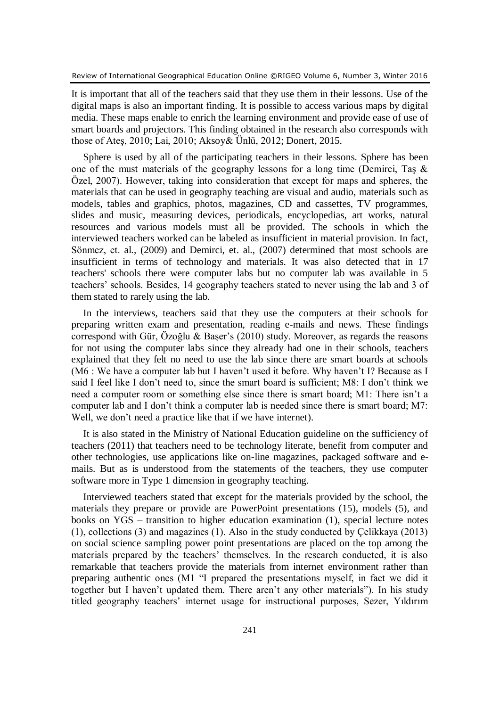It is important that all of the teachers said that they use them in their lessons. Use of the digital maps is also an important finding. It is possible to access various maps by digital media. These maps enable to enrich the learning environment and provide ease of use of smart boards and projectors. This finding obtained in the research also corresponds with those of Ateş, 2010; Lai, 2010; Aksoy& Ünlü, 2012; Donert, 2015.

Sphere is used by all of the participating teachers in their lessons. Sphere has been one of the must materials of the geography lessons for a long time (Demirci, Taş & Özel, 2007). However, taking into consideration that except for maps and spheres, the materials that can be used in geography teaching are visual and audio, materials such as models, tables and graphics, photos, magazines, CD and cassettes, TV programmes, slides and music, measuring devices, periodicals, encyclopedias, art works, natural resources and various models must all be provided. The schools in which the interviewed teachers worked can be labeled as insufficient in material provision. In fact, Sönmez, et. al., (2009) and Demirci, et. al., (2007) determined that most schools are insufficient in terms of technology and materials. It was also detected that in 17 teachers' schools there were computer labs but no computer lab was available in 5 teachers' schools. Besides, 14 geography teachers stated to never using the lab and 3 of them stated to rarely using the lab.

In the interviews, teachers said that they use the computers at their schools for preparing written exam and presentation, reading e-mails and news. These findings correspond with Gür, Özoğlu & Başer's (2010) study. Moreover, as regards the reasons for not using the computer labs since they already had one in their schools, teachers explained that they felt no need to use the lab since there are smart boards at schools (M6 : We have a computer lab but I haven't used it before. Why haven't I? Because as I said I feel like I don't need to, since the smart board is sufficient; M8: I don't think we need a computer room or something else since there is smart board; M1: There isn't a computer lab and I don't think a computer lab is needed since there is smart board; M7: Well, we don't need a practice like that if we have internet).

It is also stated in the Ministry of National Education guideline on the sufficiency of teachers (2011) that teachers need to be technology literate, benefit from computer and other technologies, use applications like on-line magazines, packaged software and emails. But as is understood from the statements of the teachers, they use computer software more in Type 1 dimension in geography teaching.

Interviewed teachers stated that except for the materials provided by the school, the materials they prepare or provide are PowerPoint presentations (15), models (5), and books on YGS – transition to higher education examination (1), special lecture notes (1), collections (3) and magazines (1). Also in the study conducted by Çelikkaya (2013) on social science sampling power point presentations are placed on the top among the materials prepared by the teachers' themselves. In the research conducted, it is also remarkable that teachers provide the materials from internet environment rather than preparing authentic ones (M1 "I prepared the presentations myself, in fact we did it together but I haven't updated them. There aren't any other materials"). In his study titled geography teachers' internet usage for instructional purposes, Sezer, Yıldırım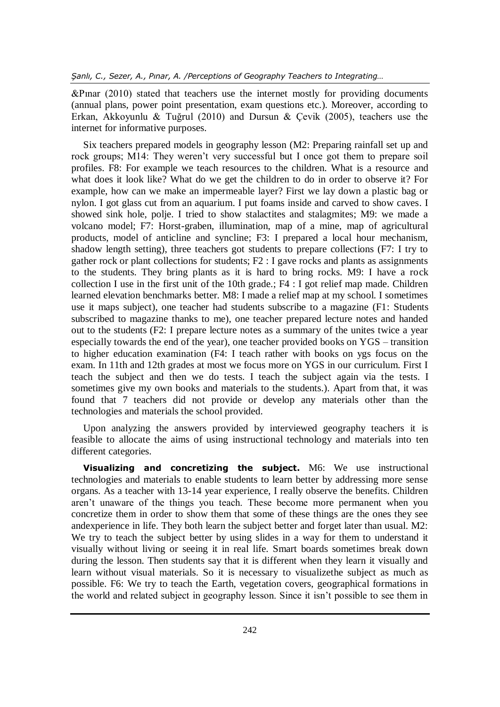&Pınar (2010) stated that teachers use the internet mostly for providing documents (annual plans, power point presentation, exam questions etc.). Moreover, according to Erkan, Akkoyunlu & Tuğrul (2010) and Dursun & Çevik (2005), teachers use the internet for informative purposes.

Six teachers prepared models in geography lesson (M2: Preparing rainfall set up and rock groups; M14: They weren't very successful but I once got them to prepare soil profiles. F8: For example we teach resources to the children. What is a resource and what does it look like? What do we get the children to do in order to observe it? For example, how can we make an impermeable layer? First we lay down a plastic bag or nylon. I got glass cut from an aquarium. I put foams inside and carved to show caves. I showed sink hole, polje. I tried to show stalactites and stalagmites; M9: we made a volcano model; F7: Horst-graben, illumination, map of a mine, map of agricultural products, model of anticline and syncline; F3: I prepared a local hour mechanism, shadow length setting), three teachers got students to prepare collections (F7: I try to gather rock or plant collections for students; F2 : I gave rocks and plants as assignments to the students. They bring plants as it is hard to bring rocks. M9: I have a rock collection I use in the first unit of the 10th grade.; F4 : I got relief map made. Children learned elevation benchmarks better. M8: I made a relief map at my school. I sometimes use it maps subject), one teacher had students subscribe to a magazine (F1: Students subscribed to magazine thanks to me), one teacher prepared lecture notes and handed out to the students (F2: I prepare lecture notes as a summary of the unites twice a year especially towards the end of the year), one teacher provided books on YGS – transition to higher education examination (F4: I teach rather with books on ygs focus on the exam. In 11th and 12th grades at most we focus more on YGS in our curriculum. First I teach the subject and then we do tests. I teach the subject again via the tests. I sometimes give my own books and materials to the students.). Apart from that, it was found that 7 teachers did not provide or develop any materials other than the technologies and materials the school provided.

Upon analyzing the answers provided by interviewed geography teachers it is feasible to allocate the aims of using instructional technology and materials into ten different categories.

**Visualizing and concretizing the subject.** M6: We use instructional technologies and materials to enable students to learn better by addressing more sense organs. As a teacher with 13-14 year experience, I really observe the benefits. Children aren't unaware of the things you teach. These become more permanent when you concretize them in order to show them that some of these things are the ones they see andexperience in life. They both learn the subject better and forget later than usual. M2: We try to teach the subject better by using slides in a way for them to understand it visually without living or seeing it in real life. Smart boards sometimes break down during the lesson. Then students say that it is different when they learn it visually and learn without visual materials. So it is necessary to visualizethe subject as much as possible. F6: We try to teach the Earth, vegetation covers, geographical formations in the world and related subject in geography lesson. Since it isn't possible to see them in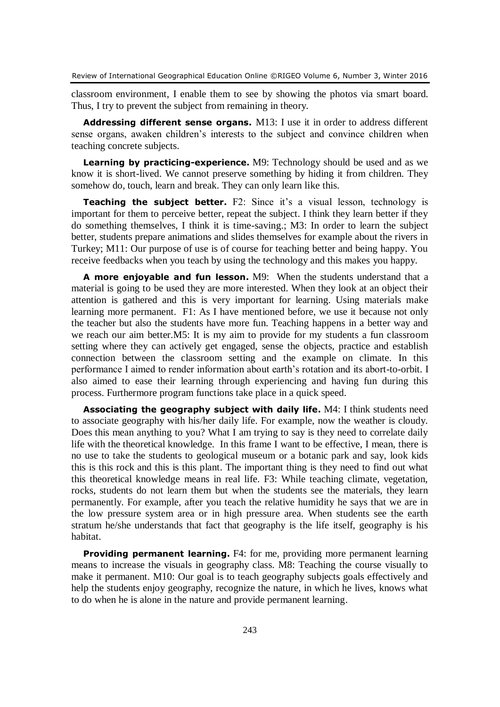classroom environment, I enable them to see by showing the photos via smart board. Thus, I try to prevent the subject from remaining in theory.

**Addressing different sense organs.** M13: I use it in order to address different sense organs, awaken children's interests to the subject and convince children when teaching concrete subjects.

**Learning by practicing-experience.** M9: Technology should be used and as we know it is short-lived. We cannot preserve something by hiding it from children. They somehow do, touch, learn and break. They can only learn like this.

**Teaching the subject better.** F2: Since it's a visual lesson, technology is important for them to perceive better, repeat the subject. I think they learn better if they do something themselves, I think it is time-saving.; M3: In order to learn the subject better, students prepare animations and slides themselves for example about the rivers in Turkey; M11: Our purpose of use is of course for teaching better and being happy. You receive feedbacks when you teach by using the technology and this makes you happy.

**A more enjoyable and fun lesson.** M9: When the students understand that a material is going to be used they are more interested. When they look at an object their attention is gathered and this is very important for learning. Using materials make learning more permanent. F1: As I have mentioned before, we use it because not only the teacher but also the students have more fun. Teaching happens in a better way and we reach our aim better.M5: It is my aim to provide for my students a fun classroom setting where they can actively get engaged, sense the objects, practice and establish connection between the classroom setting and the example on climate. In this performance I aimed to render information about earth's rotation and its abort-to-orbit. I also aimed to ease their learning through experiencing and having fun during this process. Furthermore program functions take place in a quick speed.

**Associating the geography subject with daily life.** M4: I think students need to associate geography with his/her daily life. For example, now the weather is cloudy. Does this mean anything to you? What I am trying to say is they need to correlate daily life with the theoretical knowledge. In this frame I want to be effective, I mean, there is no use to take the students to geological museum or a botanic park and say, look kids this is this rock and this is this plant. The important thing is they need to find out what this theoretical knowledge means in real life. F3: While teaching climate, vegetation, rocks, students do not learn them but when the students see the materials, they learn permanently. For example, after you teach the relative humidity he says that we are in the low pressure system area or in high pressure area. When students see the earth stratum he/she understands that fact that geography is the life itself, geography is his habitat.

**Providing permanent learning.** F4: for me, providing more permanent learning means to increase the visuals in geography class. M8: Teaching the course visually to make it permanent. M10: Our goal is to teach geography subjects goals effectively and help the students enjoy geography, recognize the nature, in which he lives, knows what to do when he is alone in the nature and provide permanent learning.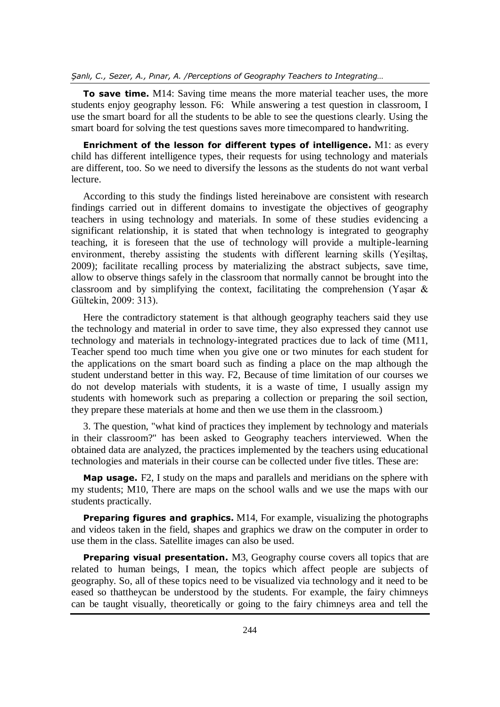**To save time.** M14: Saving time means the more material teacher uses, the more students enjoy geography lesson. F6: While answering a test question in classroom, I use the smart board for all the students to be able to see the questions clearly. Using the smart board for solving the test questions saves more timecompared to handwriting.

**Enrichment of the lesson for different types of intelligence.** M1: as every child has different intelligence types, their requests for using technology and materials are different, too. So we need to diversify the lessons as the students do not want verbal lecture.

According to this study the findings listed hereinabove are consistent with research findings carried out in different domains to investigate the objectives of geography teachers in using technology and materials. In some of these studies evidencing a significant relationship, it is stated that when technology is integrated to geography teaching, it is foreseen that the use of technology will provide a multiple-learning environment, thereby assisting the students with different learning skills (Yeşiltaş, 2009); facilitate recalling process by materializing the abstract subjects, save time, allow to observe things safely in the classroom that normally cannot be brought into the classroom and by simplifying the context, facilitating the comprehension (Yaşar  $\&$ Gültekin, 2009: 313).

Here the contradictory statement is that although geography teachers said they use the technology and material in order to save time, they also expressed they cannot use technology and materials in technology-integrated practices due to lack of time (M11, Teacher spend too much time when you give one or two minutes for each student for the applications on the smart board such as finding a place on the map although the student understand better in this way. F2, Because of time limitation of our courses we do not develop materials with students, it is a waste of time, I usually assign my students with homework such as preparing a collection or preparing the soil section, they prepare these materials at home and then we use them in the classroom.)

3. The question, "what kind of practices they implement by technology and materials in their classroom?" has been asked to Geography teachers interviewed. When the obtained data are analyzed, the practices implemented by the teachers using educational technologies and materials in their course can be collected under five titles. These are:

**Map usage.** F2, I study on the maps and parallels and meridians on the sphere with my students; M10, There are maps on the school walls and we use the maps with our students practically.

**Preparing figures and graphics.** M14, For example, visualizing the photographs and videos taken in the field, shapes and graphics we draw on the computer in order to use them in the class. Satellite images can also be used.

**Preparing visual presentation.** M3, Geography course covers all topics that are related to human beings, I mean, the topics which affect people are subjects of geography. So, all of these topics need to be visualized via technology and it need to be eased so thattheycan be understood by the students. For example, the fairy chimneys can be taught visually, theoretically or going to the fairy chimneys area and tell the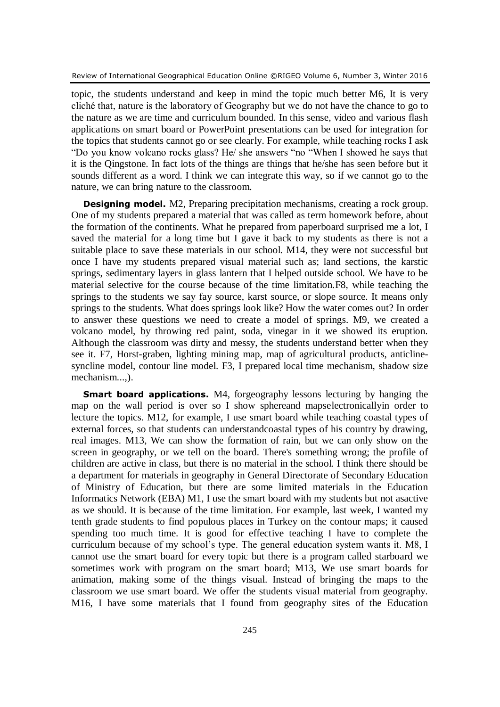topic, the students understand and keep in mind the topic much better M6, It is very cliché that, nature is the laboratory of Geography but we do not have the chance to go to the nature as we are time and curriculum bounded. In this sense, video and various flash applications on smart board or PowerPoint presentations can be used for integration for the topics that students cannot go or see clearly. For example, while teaching rocks I ask "Do you know volcano rocks glass? He/ she answers "no "When I showed he says that it is the Qingstone. In fact lots of the things are things that he/she has seen before but it sounds different as a word. I think we can integrate this way, so if we cannot go to the nature, we can bring nature to the classroom.

**Designing model.** M2, Preparing precipitation mechanisms, creating a rock group. One of my students prepared a material that was called as term homework before, about the formation of the continents. What he prepared from paperboard surprised me a lot, I saved the material for a long time but I gave it back to my students as there is not a suitable place to save these materials in our school. M14, they were not successful but once I have my students prepared visual material such as; land sections, the karstic springs, sedimentary layers in glass lantern that I helped outside school. We have to be material selective for the course because of the time limitation.F8, while teaching the springs to the students we say fay source, karst source, or slope source. It means only springs to the students. What does springs look like? How the water comes out? In order to answer these questions we need to create a model of springs. M9, we created a volcano model, by throwing red paint, soda, vinegar in it we showed its eruption. Although the classroom was dirty and messy, the students understand better when they see it. F7, Horst-graben, lighting mining map, map of agricultural products, anticlinesyncline model, contour line model. F3, I prepared local time mechanism, shadow size mechanism...,).

**Smart board applications.** M4, forgeography lessons lecturing by hanging the map on the wall period is over so I show sphereand mapselectronicallyin order to lecture the topics. M12, for example, I use smart board while teaching coastal types of external forces, so that students can understandcoastal types of his country by drawing, real images. M13, We can show the formation of rain, but we can only show on the screen in geography, or we tell on the board. There's something wrong; the profile of children are active in class, but there is no material in the school. I think there should be a department for materials in geography in General Directorate of Secondary Education of Ministry of Education, but there are some limited materials in the Education Informatics Network (EBA) M1, I use the smart board with my students but not asactive as we should. It is because of the time limitation. For example, last week, I wanted my tenth grade students to find populous places in Turkey on the contour maps; it caused spending too much time. It is good for effective teaching I have to complete the curriculum because of my school's type. The general education system wants it. M8, I cannot use the smart board for every topic but there is a program called starboard we sometimes work with program on the smart board; M13, We use smart boards for animation, making some of the things visual. Instead of bringing the maps to the classroom we use smart board. We offer the students visual material from geography. M16, I have some materials that I found from geography sites of the Education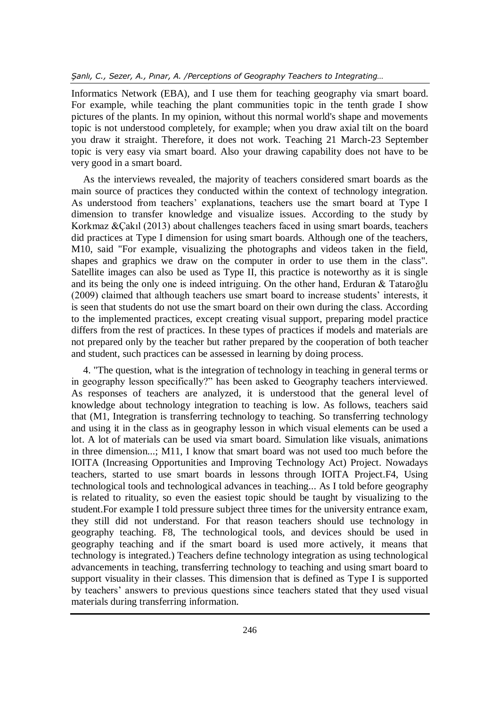Informatics Network (EBA), and I use them for teaching geography via smart board. For example, while teaching the plant communities topic in the tenth grade I show pictures of the plants. In my opinion, without this normal world's shape and movements topic is not understood completely, for example; when you draw axial tilt on the board you draw it straight. Therefore, it does not work. Teaching 21 March-23 September topic is very easy via smart board. Also your drawing capability does not have to be very good in a smart board.

As the interviews revealed, the majority of teachers considered smart boards as the main source of practices they conducted within the context of technology integration. As understood from teachers' explanations, teachers use the smart board at Type I dimension to transfer knowledge and visualize issues. According to the study by Korkmaz &Çakıl (2013) about challenges teachers faced in using smart boards, teachers did practices at Type I dimension for using smart boards. Although one of the teachers, M10, said "For example, visualizing the photographs and videos taken in the field, shapes and graphics we draw on the computer in order to use them in the class". Satellite images can also be used as Type II, this practice is noteworthy as it is single and its being the only one is indeed intriguing. On the other hand, Erduran & Tataroğlu (2009) claimed that although teachers use smart board to increase students' interests, it is seen that students do not use the smart board on their own during the class. According to the implemented practices, except creating visual support, preparing model practice differs from the rest of practices. In these types of practices if models and materials are not prepared only by the teacher but rather prepared by the cooperation of both teacher and student, such practices can be assessed in learning by doing process.

4. "The question, what is the integration of technology in teaching in general terms or in geography lesson specifically?" has been asked to Geography teachers interviewed. As responses of teachers are analyzed, it is understood that the general level of knowledge about technology integration to teaching is low. As follows, teachers said that (M1, Integration is transferring technology to teaching. So transferring technology and using it in the class as in geography lesson in which visual elements can be used a lot. A lot of materials can be used via smart board. Simulation like visuals, animations in three dimension...; M11, I know that smart board was not used too much before the IOITA (Increasing Opportunities and Improving Technology Act) Project. Nowadays teachers, started to use smart boards in lessons through IOITA Project.F4, Using technological tools and technological advances in teaching... As I told before geography is related to rituality, so even the easiest topic should be taught by visualizing to the student.For example I told pressure subject three times for the university entrance exam, they still did not understand. For that reason teachers should use technology in geography teaching. F8, The technological tools, and devices should be used in geography teaching and if the smart board is used more actively, it means that technology is integrated.) Teachers define technology integration as using technological advancements in teaching, transferring technology to teaching and using smart board to support visuality in their classes. This dimension that is defined as Type I is supported by teachers' answers to previous questions since teachers stated that they used visual materials during transferring information.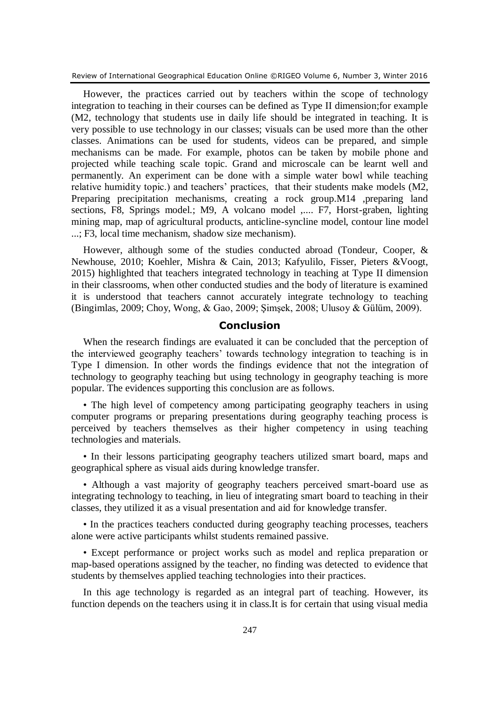However, the practices carried out by teachers within the scope of technology integration to teaching in their courses can be defined as Type II dimension;for example (M2, technology that students use in daily life should be integrated in teaching. It is very possible to use technology in our classes; visuals can be used more than the other classes. Animations can be used for students, videos can be prepared, and simple mechanisms can be made. For example, photos can be taken by mobile phone and projected while teaching scale topic. Grand and microscale can be learnt well and permanently. An experiment can be done with a simple water bowl while teaching relative humidity topic.) and teachers' practices, that their students make models (M2, Preparing precipitation mechanisms, creating a rock group.M14 ,preparing land sections, F8, Springs model.; M9, A volcano model ,.... F7, Horst-graben, lighting mining map, map of agricultural products, anticline-syncline model, contour line model ...; F3, local time mechanism, shadow size mechanism).

However, although some of the studies conducted abroad (Tondeur, Cooper, & Newhouse, 2010; Koehler, Mishra & Cain, 2013; Kafyulilo, Fisser, Pieters &Voogt, 2015) highlighted that teachers integrated technology in teaching at Type II dimension in their classrooms, when other conducted studies and the body of literature is examined it is understood that teachers cannot accurately integrate technology to teaching (Bingimlas, 2009; Choy, Wong, & Gao, 2009; Şimşek, 2008; Ulusoy & Gülüm, 2009).

# **Conclusion**

When the research findings are evaluated it can be concluded that the perception of the interviewed geography teachers' towards technology integration to teaching is in Type I dimension. In other words the findings evidence that not the integration of technology to geography teaching but using technology in geography teaching is more popular. The evidences supporting this conclusion are as follows.

• The high level of competency among participating geography teachers in using computer programs or preparing presentations during geography teaching process is perceived by teachers themselves as their higher competency in using teaching technologies and materials.

• In their lessons participating geography teachers utilized smart board, maps and geographical sphere as visual aids during knowledge transfer.

• Although a vast majority of geography teachers perceived smart-board use as integrating technology to teaching, in lieu of integrating smart board to teaching in their classes, they utilized it as a visual presentation and aid for knowledge transfer.

• In the practices teachers conducted during geography teaching processes, teachers alone were active participants whilst students remained passive.

• Except performance or project works such as model and replica preparation or map-based operations assigned by the teacher, no finding was detected to evidence that students by themselves applied teaching technologies into their practices.

In this age technology is regarded as an integral part of teaching. However, its function depends on the teachers using it in class.It is for certain that using visual media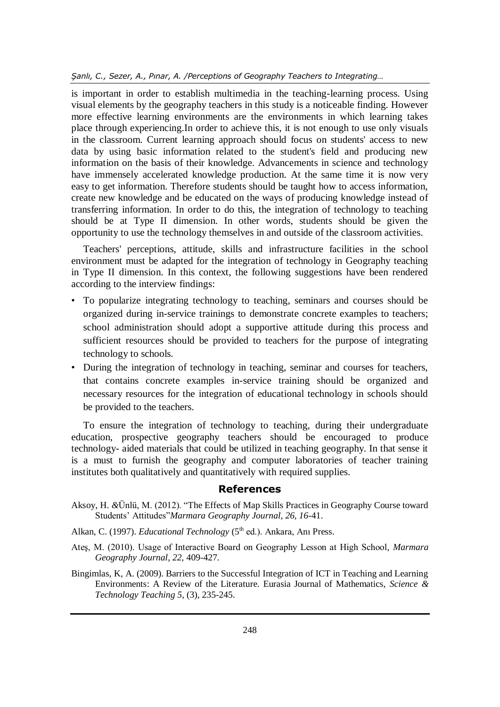is important in order to establish multimedia in the teaching-learning process. Using visual elements by the geography teachers in this study is a noticeable finding. However more effective learning environments are the environments in which learning takes place through experiencing.In order to achieve this, it is not enough to use only visuals in the classroom. Current learning approach should focus on students' access to new data by using basic information related to the student's field and producing new information on the basis of their knowledge. Advancements in science and technology have immensely accelerated knowledge production. At the same time it is now very easy to get information. Therefore students should be taught how to access information, create new knowledge and be educated on the ways of producing knowledge instead of transferring information. In order to do this, the integration of technology to teaching should be at Type II dimension. In other words, students should be given the opportunity to use the technology themselves in and outside of the classroom activities.

Teachers' perceptions, attitude, skills and infrastructure facilities in the school environment must be adapted for the integration of technology in Geography teaching in Type II dimension. In this context, the following suggestions have been rendered according to the interview findings:

- To popularize integrating technology to teaching, seminars and courses should be organized during in-service trainings to demonstrate concrete examples to teachers; school administration should adopt a supportive attitude during this process and sufficient resources should be provided to teachers for the purpose of integrating technology to schools.
- During the integration of technology in teaching, seminar and courses for teachers, that contains concrete examples in-service training should be organized and necessary resources for the integration of educational technology in schools should be provided to the teachers.

To ensure the integration of technology to teaching, during their undergraduate education, prospective geography teachers should be encouraged to produce technology- aided materials that could be utilized in teaching geography. In that sense it is a must to furnish the geography and computer laboratories of teacher training institutes both qualitatively and quantitatively with required supplies.

# **References**

- Aksoy, H. *&*Ünlü, M. (2012). "The Effects of Map Skills Practices in Geography Course toward Students' Attitudes"*Marmara Geography Journal, 26, 16*-41.
- Alkan, C. (1997). *Educational Technology* (5<sup>th</sup> ed.). Ankara, Ani Press.
- Ateş, M. (2010). Usage of Interactive Board on Geography Lesson at High School*, Marmara Geography Journal*, *22,* 409-427.
- Bingimlas, K, A. (2009). Barriers to the Successful Integration of ICT in Teaching and Learning Environments: A Review of the Literature. Eurasia Journal of Mathematics, *Science & Technology Teaching 5,* (3), 235-245.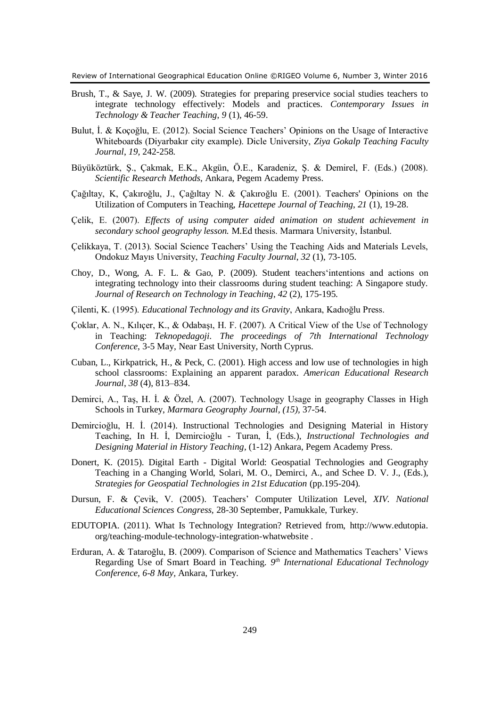- Brush, T., & Saye, J. W. (2009). Strategies for preparing preservice social studies teachers to integrate technology effectively: Models and practices. *Contemporary Issues in Technology & Teacher Teaching*, *9* (1), 46-59.
- Bulut, İ. & Koçoğlu, E. (2012). Social Science Teachers' Opinions on the Usage of Interactive Whiteboards (Diyarbakır city example). Dicle University, *Ziya Gokalp Teaching Faculty Journal*, *19,* 242-258.
- Büyüköztürk, Ş., Çakmak, E.K., Akgün, Ö.E., Karadeniz, Ş. & Demirel, F. (Eds.) (2008). *Scientific Research Methods*, Ankara, Pegem Academy Press.
- Çağıltay, K, Çakıroğlu, J., Çağıltay N. & Çakıroğlu E. (2001). Teachers' Opinions on the Utilization of Computers in Teaching, *Hacettepe Journal of Teaching*, *21* (1), 19-28.
- Çelik, E. (2007). *Effects of using computer aided animation on student achievement in secondary school geography lesson.* M.Ed thesis. Marmara University, İstanbul.
- Çelikkaya, T. (2013). Social Science Teachers' Using the Teaching Aids and Materials Levels, Ondokuz Mayıs University, *Teaching Faculty Journal*, *32* (1), 73-105.
- Choy, D., Wong, A. F. L. & Gao, P. (2009). Student teachers'intentions and actions on integrating technology into their classrooms during student teaching: A Singapore study. *Journal of Research on Technology in Teaching*, *42* (2), 175-195.
- Çilenti, K. (1995). *Educational Technology and its Gravity*, Ankara, Kadıoğlu Press.
- Çoklar, A. N., Kılıçer, K., & Odabaşı, H. F. (2007). A Critical View of the Use of Technology in Teaching: *Teknopedagoji. The proceedings of 7th International Technology Conference*, 3-5 May, Near East University, North Cyprus.
- Cuban, L., Kirkpatrick, H., & Peck, C. (2001). High access and low use of technologies in high school classrooms: Explaining an apparent paradox. *American Educational Research Journal*, *38* (4), 813–834.
- Demirci, A., Taş, H. İ. & Özel, A. (2007). Technology Usage in geography Classes in High Schools in Turkey, *Marmara Geography Journal, (15),* 37-54.
- Demircioğlu, H. İ. (2014). Instructional Technologies and Designing Material in History Teaching, In H. İ, Demircioğlu - Turan, İ, (Eds.), *Instructional Technologies and Designing Material in History Teaching,* (1-12) Ankara, Pegem Academy Press.
- Donert, K. (2015). Digital Earth Digital World: Geospatial Technologies and Geography Teaching in a Changing World, Solari, M. O., Demirci, A., and Schee D. V. J., (Eds.), *Strategies for Geospatial Technologies in 21st Education* (pp.195-204).
- Dursun, F. & Çevik, V. (2005). Teachers' Computer Utilization Level, *XIV. National Educational Sciences Congress,* 28-30 September, Pamukkale, Turkey.
- EDUTOPIA. (2011). What Is Technology Integration? Retrieved from, http://www.edutopia. org/teaching-module-technology-integration-whatwebsite .
- Erduran, A. & Tataroğlu, B. (2009). Comparison of Science and Mathematics Teachers' Views Regarding Use of Smart Board in Teaching. *9 th International Educational Technology Conference, 6-8 May,* Ankara, Turkey.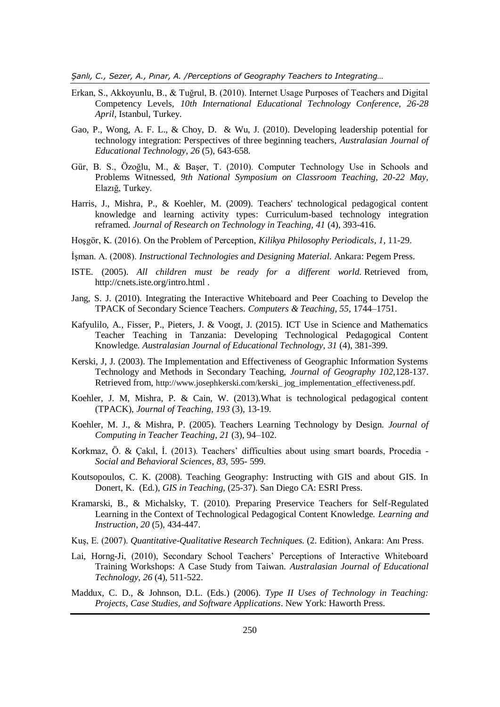*Şanlı, C., Sezer, A., Pınar, A. /Perceptions of Geography Teachers to Integrating…*

- Erkan, S., Akkoyunlu, B., & Tuğrul, B. (2010). Internet Usage Purposes of Teachers and Digital Competency Levels*, 10th International Educational Technology Conference, 26-28 April,* Istanbul, Turkey.
- Gao, P., Wong, A. F. L., & Choy, D. & Wu, J. (2010). Developing leadership potential for technology integration: Perspectives of three beginning teachers, *Australasian Journal of Educational Technology, 26* (5), 643-658.
- Gür, B. S., Özoğlu, M., & Başer, T. (2010). Computer Technology Use in Schools and Problems Witnessed*, 9th National Symposium on Classroom Teaching, 20-22 May,* Elazığ, Turkey.
- Harris, J., Mishra, P., & Koehler, M. (2009). Teachers' technological pedagogical content knowledge and learning activity types: Curriculum-based technology integration reframed. *Journal of Research on Technology in Teaching*, *41* (4), 393-416.
- Hoşgör, K. (2016). On the Problem of Perception, *Kilikya Philosophy Periodicals, 1,* 11-29.
- İşman. A. (2008). *Instructional Technologies and Designing Material.* Ankara: Pegem Press.
- ISTE. (2005). *All children must be ready for a different world.* Retrieved from, <http://cnets.iste.org/intro.html> .
- Jang, S. J. (2010). Integrating the Interactive Whiteboard and Peer Coaching to Develop the TPACK of Secondary Science Teachers. *Computers & Teaching, 55,* 1744–1751.
- Kafyulilo, A., Fisser, P., Pieters, J. & Voogt, J. (2015). ICT Use in Science and Mathematics Teacher Teaching in Tanzania: Developing Technological Pedagogical Content Knowledge. *Australasian Journal of Educational Technology*, *31* (4), 381-399.
- Kerski, J, J. (2003). The Implementation and Effectiveness of Geographic Information Systems Technology and Methods in Secondary Teaching, *Journal of Geography 102,*128-137. Retrieved from, [http://www.josephkerski.com/kerski\\_ jog\\_implementation\\_effectiveness.pdf.](http://www.josephkerski.com/kerski_%20jog_implementation_effectiveness.pdf)
- Koehler, J. M, Mishra, P. & Cain, W. (2013).What is technological pedagogical content (TPACK), *Journal of Teaching, 193* (3), 13-19.
- Koehler, M. J., & Mishra, P. (2005). Teachers Learning Technology by Design. *Journal of Computing in Teacher Teaching*, *21* (3), 94–102.
- Korkmaz, Ö. & Çakıl, İ. (2013). Teachers' difficulties about using smart boards, Procedia *Social and Behavioral Sciences*, *83*, 595- 599.
- Koutsopoulos, C. K. (2008). Teaching Geography: Instructing with GIS and about GIS. In Donert, K. (Ed.), *GIS in Teaching,* (25-37). San Diego CA: ESRI Press.
- Kramarski, B., & Michalsky, T. (2010). Preparing Preservice Teachers for Self-Regulated Learning in the Context of Technological Pedagogical Content Knowledge. *Learning and Instruction*, *20* (5), 434-447.
- Kuş, E. (2007). *Quantitative-Qualitative Research Techniques.* (2. Edition), Ankara: Anı Press.
- Lai, Horng-Ji, (2010), Secondary School Teachers' Perceptions of Interactive Whiteboard Training Workshops: A Case Study from Taiwan. *Australasian Journal of Educational Technology*, *26* (4), 511-522.
- Maddux, C. D., & Johnson, D.L. (Eds.) (2006). *Type II Uses of Technology in Teaching: Projects, Case Studies, and Software Applications*. New York: Haworth Press.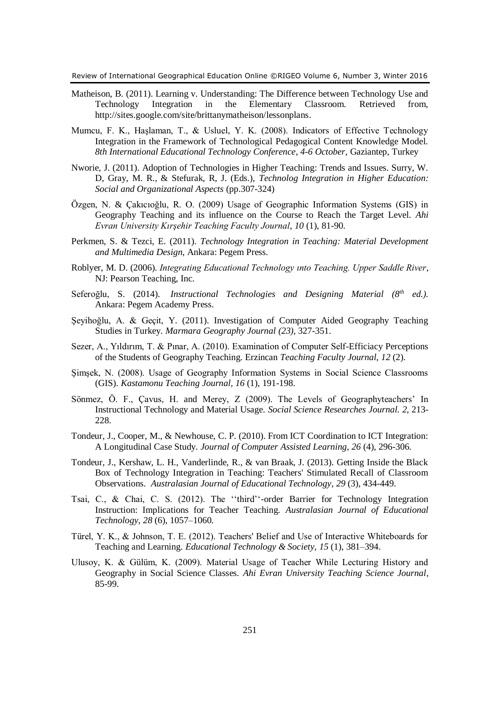- Matheison, B. (2011). Learning v. Understanding: The Difference between Technology Use and Technology Integration in the Elementary Classroom. Retrieved from, [http://sites.google.com/site/brittanymatheison/lessonplans.](http://sites.google.com/site/brittanymatheison/lessonplans)
- Mumcu, F. K., Haşlaman, T., & Usluel, Y. K. (2008). Indicators of Effective Technology Integration in the Framework of Technological Pedagogical Content Knowledge Model. *8th International Educational Technology Conference*, *4-6 October,* Gaziantep, Turkey
- Nworie, J. (2011). Adoption of Technologies in Higher Teaching: Trends and Issues. Surry, W. D, Gray, M. R., & Stefurak, R, J. (Eds.), *Technolog Integration in Higher Education: Social and Organizational Aspects* (pp.307-324)
- Özgen, N. & Çakıcıoğlu, R. O. (2009) Usage of Geographic Information Systems (GIS) in Geography Teaching and its influence on the Course to Reach the Target Level. *Ahi Evran University Kırşehir Teaching Faculty Journal*, *10* (1), 81-90.
- Perkmen, S. & Tezci, E. (2011). *Technology Integration in Teaching: Material Development and Multimedia Design*, Ankara: Pegem Press.
- Roblyer, M. D. (2006). *Integrating Educational Technology ınto Teaching. Upper Saddle River*, NJ: Pearson Teaching, Inc.
- Seferoğlu, S. (2014). *Instructional Technologies and Designing Material (8<sup>th</sup> ed.).* Ankara: Pegem Academy Press.
- Şeyihoğlu, A. & Geçit, Y. (2011). Investigation of Computer Aided Geography Teaching Studies in Turkey. *Marmara Geography Journal (23),* 327-351.
- Sezer, A., Yıldırım, T. & Pınar, A. (2010). Examination of Computer Self-Efficiacy Perceptions of the Students of Geography Teaching. Erzincan *Teaching Faculty Journal*, *12* (2).
- Şimşek, N. (2008). Usage of Geography Information Systems in Social Science Classrooms (GIS). *Kastamonu Teaching Journal, 16* (1), 191-198.
- Sönmez, Ö. F., Çavus, H. and Merey, Z (2009). The Levels of Geographyteachers' In Instructional Technology and Material Usage. *Social Science Researches Journal. 2,* 213- 228.
- Tondeur, J., Cooper, M., & Newhouse, C. P. (2010). From ICT Coordination to ICT Integration: A Longitudinal Case Study. *Journal of Computer Assisted Learning*, *26* (4), 296-306.
- Tondeur, J., Kershaw, L. H., Vanderlinde, R., & van Braak, J. (2013). Getting Inside the Black Box of Technology Integration in Teaching: Teachers' Stimulated Recall of Classroom Observations. *Australasian Journal of Educational Technology*, *29* (3), 434-449.
- Tsai, C., & Chai, C. S. (2012). The ''third''-order Barrier for Technology Integration Instruction: Implications for Teacher Teaching. *Australasian Journal of Educational Technology*, *28* (6), 1057–1060.
- Türel, Y. K., & Johnson, T. E. (2012). Teachers' Belief and Use of Interactive Whiteboards for Teaching and Learning. *Educational Technology & Society, 15* (1), 381–394.
- Ulusoy, K. & Gülüm, K. (2009). Material Usage of Teacher While Lecturing History and Geography in Social Science Classes. *Ahi Evran University Teaching Science Journal*, 85-99.